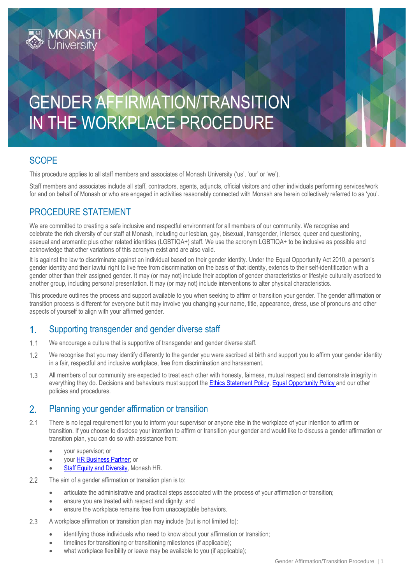# GENDER AFFIRMATION/TRANSITION IN THE WORKPLACE PROCEDURE

### **SCOPE**

This procedure applies to all staff members and associates of Monash University ('us', 'our' or 'we').

Staff members and associates include all staff, contractors, agents, adjuncts, official visitors and other individuals performing services/work for and on behalf of Monash or who are engaged in activities reasonably connected with Monash are herein collectively referred to as 'you'.

### PROCEDURE STATEMENT

4ONASH

We are committed to creating a safe inclusive and respectful environment for all members of our community. We recognise and celebrate the rich diversity of our staff at Monash, including our lesbian, gay, bisexual, transgender, intersex, queer and questioning, asexual and aromantic plus other related identities (LGBTIQA+) staff. We use the acronym LGBTIQA+ to be inclusive as possible and acknowledge that other variations of this acronym exist and are also valid.

It is against the law to discriminate against an individual based on their gender identity. Under the [Equal Opportunity Act 2010](https://policies.latrobe.edu.au/directory/summary.php?legislation=42), a person's gender identity and their lawful right to live free from discrimination on the basis of that identity, extends to their self-identification with a gender other than their assigned gender. It may (or may not) include their adoption of gender characteristics or lifestyle culturally ascribed to another group, including personal presentation. It may (or may not) include interventions to alter physical characteristics.

This procedure outlines the process and support available to you when seeking to affirm or transition your gender. The gender affirmation or transition process is different for everyone but it may involve you changing your name, title, appearance, dress, use of pronouns and other aspects of yourself to align with your affirmed gender.

#### $\mathbf{1}$ . Supporting transgender and gender diverse staff

- $1.1$ We encourage a culture that is supportive of transgender and gender diverse staff.
- $1.2$ We recognise that you may identify differently to the gender you were ascribed at birth and support you to affirm your gender identity in a fair, respectful and inclusive workplace, free from discrimination and harassment.
- $1.3$ All members of our community are expected to treat each other with honesty, fairness, mutual respect and demonstrate integrity in everything they do. Decisions and behaviours must support the [Ethics Statement Policy,](https://www.monash.edu/__data/assets/pdf_file/0004/1168798/Ethics-Statement.pdf) [Equal Opportunity Policy](https://www.monash.edu/__data/assets/pdf_file/0003/1294680/Equal-Opportunity.pdf) and our other policies and procedures.

#### $2.$ Planning your gender affirmation or transition

- $21$ There is no legal requirement for you to inform your supervisor or anyone else in the workplace of your intention to affirm or transition. If you choose to disclose your intention to affirm or transition your gender and would like to discuss a gender affirmation or transition plan, you can do so with assistance from:
	- your supervisor; or
	- your **HR Business Partner**; or
	- [Staff Equity and Diversity, Monash HR.](https://www.monash.edu/gender-equity/lgbtiq-staff)
- $2.2$ The aim of a gender affirmation or transition plan is to:
	- articulate the administrative and practical steps associated with the process of your affirmation or transition;
	- ensure you are treated with respect and dignity; and
	- ensure the workplace remains free from unacceptable behaviors.
- 2.3 A workplace affirmation or transition plan may include (but is not limited to):
	- identifying those individuals who need to know about your affirmation or transition;
	- timelines for transitioning or transitioning milestones (if applicable);
	- what workplace flexibility or leave may be available to you (if applicable);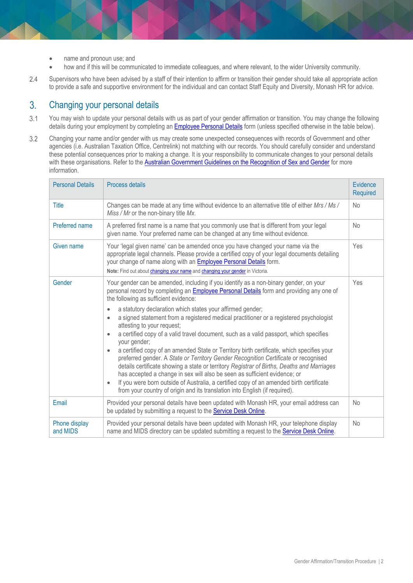- name and pronoun use; and
- how and if this will be communicated to immediate colleagues, and where relevant, to the wider University community.
- 2.4 Supervisors who have been advised by a staff of their intention to affirm or transition their gender should take all appropriate action to provide a safe and supportive environment for the individual and can contact Staff Equity and Diversity, Monash HR for advice.

#### Changing your personal details  $3<sub>1</sub>$

- $3.1$ You may wish to update your personal details with us as part of your gender affirmation or transition. You may change the following details during your employment by completing a[n Employee Personal Details](http://www.monash.edu/forms/employee-details) form (unless specified otherwise in the table below).
- 3.2 Changing your name and/or gender with us may create some unexpected consequences with records of Government and other agencies (i.e. Australian Taxation Office, Centrelink) not matching with our records. You should carefully consider and understand these potential consequences prior to making a change. It is your responsibility to communicate changes to your personal details with these organisations. Refer to the **Australian Government Guidelines on the Recognition of Sex and Gender** for more information.

| <b>Personal Details</b>   | Process details                                                                                                                                                                                                                                                                                                                                                                                                                                                                                                                                                                                                                                                                                                                                                                                                                                                                                                                                                                                                                                                                                                                             | Evidence<br><b>Required</b> |
|---------------------------|---------------------------------------------------------------------------------------------------------------------------------------------------------------------------------------------------------------------------------------------------------------------------------------------------------------------------------------------------------------------------------------------------------------------------------------------------------------------------------------------------------------------------------------------------------------------------------------------------------------------------------------------------------------------------------------------------------------------------------------------------------------------------------------------------------------------------------------------------------------------------------------------------------------------------------------------------------------------------------------------------------------------------------------------------------------------------------------------------------------------------------------------|-----------------------------|
| Title                     | Changes can be made at any time without evidence to an alternative title of either Mrs / Ms /<br>Miss / Mr or the non-binary title Mx.                                                                                                                                                                                                                                                                                                                                                                                                                                                                                                                                                                                                                                                                                                                                                                                                                                                                                                                                                                                                      | No                          |
| Preferred name            | A preferred first name is a name that you commonly use that is different from your legal<br>given name. Your preferred name can be changed at any time without evidence.                                                                                                                                                                                                                                                                                                                                                                                                                                                                                                                                                                                                                                                                                                                                                                                                                                                                                                                                                                    | <b>No</b>                   |
| Given name                | Your 'legal given name' can be amended once you have changed your name via the<br>appropriate legal channels. Please provide a certified copy of your legal documents detailing<br>your change of name along with an <b>Employee Personal Details</b> form.<br>Note: Find out about changing your name and changing your gender in Victoria.                                                                                                                                                                                                                                                                                                                                                                                                                                                                                                                                                                                                                                                                                                                                                                                                | Yes                         |
| Gender                    | Your gender can be amended, including if you identify as a non-binary gender, on your<br>personal record by completing an <b>Employee Personal Details</b> form and providing any one of<br>the following as sufficient evidence:<br>a statutory declaration which states your affirmed gender;<br>$\bullet$<br>a signed statement from a registered medical practitioner or a registered psychologist<br>$\bullet$<br>attesting to your request;<br>a certified copy of a valid travel document, such as a valid passport, which specifies<br>$\bullet$<br>your gender;<br>a certified copy of an amended State or Territory birth certificate, which specifies your<br>$\bullet$<br>preferred gender. A State or Territory Gender Recognition Certificate or recognised<br>details certificate showing a state or territory Registrar of Births, Deaths and Marriages<br>has accepted a change in sex will also be seen as sufficient evidence; or<br>If you were born outside of Australia, a certified copy of an amended birth certificate<br>$\bullet$<br>from your country of origin and its translation into English (if required). | Yes                         |
| Email                     | Provided your personal details have been updated with Monash HR, your email address can<br>be updated by submitting a request to the Service Desk Online.                                                                                                                                                                                                                                                                                                                                                                                                                                                                                                                                                                                                                                                                                                                                                                                                                                                                                                                                                                                   | <b>No</b>                   |
| Phone display<br>and MIDS | Provided your personal details have been updated with Monash HR, your telephone display<br>name and MIDS directory can be updated submitting a request to the Service Desk Online.                                                                                                                                                                                                                                                                                                                                                                                                                                                                                                                                                                                                                                                                                                                                                                                                                                                                                                                                                          | No                          |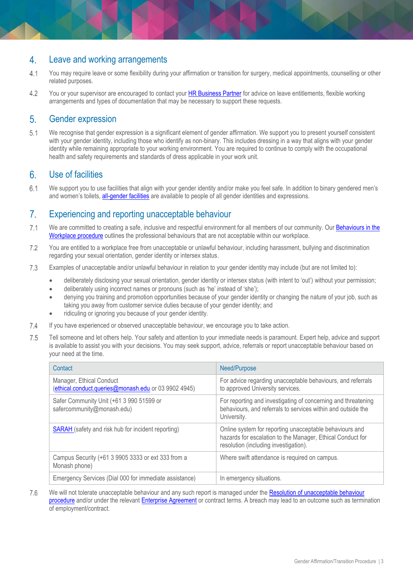#### Leave and working arrangements  $\overline{4}$ .

- $4.1$ You may require leave or some flexibility during your affirmation or transition for surgery, medical appointments, counselling or other related purposes.
- You or your supervisor are encouraged to contact you[r HR Business Partner](http://www.intranet.monash/hr/contact-us/hr-business-partners) for advice on leave entitlements, flexible working  $4.2$ arrangements and types of documentation that may be necessary to support these requests.

#### $5<sub>1</sub>$ Gender expression

 $5.1$ We recognise that gender expression is a significant element of gender affirmation. We support you to present yourself consistent with your gender identity, including those who identify as non-binary. This includes dressing in a way that aligns with your gender identity while remaining appropriate to your working environment. You are required to continue to comply with the occupational health and safety requirements and standards of dress applicable in your work unit.

#### $6.$ Use of facilities

 $6.1$ We support you to use facilities that align with your gender identity and/or make you feel safe. In addition to binary gendered men's and women's toilets, [all-gender facilities](https://www.monash.edu/diversity-inclusion/lgbtiq/resources/all-gender-toilets) are available to people of all gender identities and expressions.

#### $7<sub>1</sub>$ Experiencing and reporting unacceptable behaviour

- $7.1$ We are committed to creating a safe, inclusive and respectful environment for all members of our community. Our Behaviours in the [Workplace procedure](https://www.monash.edu/__data/assets/pdf_file/0003/1265250/Behaviours-in-the-Workplace.pdf) outlines the professional behaviours that are not acceptable within our workplace.
- 72 You are entitled to a workplace free from unacceptable or unlawful behaviour, including harassment, bullying and discrimination regarding your sexual orientation, gender identity or intersex status.
- 7.3 Examples of unacceptable and/or unlawful behaviour in relation to your gender identity may include (but are not limited to):
	- deliberately disclosing your sexual orientation, gender identity or intersex status (with intent to 'out') without your permission;
	- deliberately using incorrect names or pronouns (such as 'he' instead of 'she');
	- denying you training and promotion opportunities because of your gender identity or changing the nature of your job, such as taking you away from customer service duties because of your gender identity; and
	- ridiculing or ignoring you because of your gender identity.
- $7.4$ If you have experienced or observed unacceptable behaviour, we encourage you to take action.
- 7.5 Tell someone and let others help. Your safety and attention to your immediate needs is paramount. Expert help, advice and support is available to assist you with your decisions. You may seek support, advice, referrals or report unacceptable behaviour based on your need at the time.

| Contact                                                                          | Need/Purpose                                                                                                                                                   |
|----------------------------------------------------------------------------------|----------------------------------------------------------------------------------------------------------------------------------------------------------------|
| Manager, Ethical Conduct<br>(ethical.conduct.queries@monash.edu or 03 9902 4945) | For advice regarding unacceptable behaviours, and referrals<br>to approved University services.                                                                |
| Safer Community Unit (+61 3 990 51599 or<br>safercommunity@monash.edu)           | For reporting and investigating of concerning and threatening<br>behaviours, and referrals to services within and outside the<br>University.                   |
| <b>SARAH</b> (safety and risk hub for incident reporting)                        | Online system for reporting unacceptable behaviours and<br>hazards for escalation to the Manager, Ethical Conduct for<br>resolution (including investigation). |
| Campus Security (+61 3 9905 3333 or ext 333 from a<br>Monash phone)              | Where swift attendance is required on campus.                                                                                                                  |
| Emergency Services (Dial 000 for immediate assistance)                           | In emergency situations.                                                                                                                                       |

7.6 We will not tolerate unacceptable behaviour and any such report is managed under the [Resolution of unacceptable behaviour](https://www.monash.edu/__data/assets/pdf_file/0003/797430/Conduct-and-Compliance-Resolution-of-Unacceptable-Behaviour.pdf)  [procedure](https://www.monash.edu/__data/assets/pdf_file/0003/797430/Conduct-and-Compliance-Resolution-of-Unacceptable-Behaviour.pdf) and/or under the relevant [Enterprise Agreement](https://www.monash.edu/current-enterprise-agreements) or contract terms. A breach may lead to an outcome such as termination of employment/contract.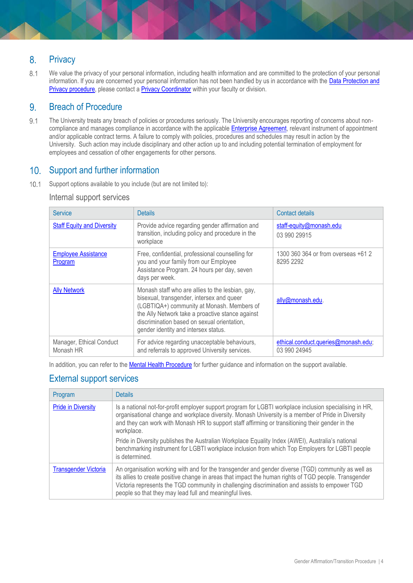#### $8<sub>1</sub>$ **Privacy**

 $8.1$ We value the privacy of your personal information, including health information and are committed to the protection of your personal information. If you are concerned your personal information has not been handled by us in accordance with the Data Protection and [Privacy procedure,](https://www.monash.edu/__data/assets/pdf_file/0003/790086/Privacy.pdf) please contact [a Privacy Coordinator](https://www.monash.edu/privacy-monash/feedback-and-key-contacts) within your faculty or division.

#### $9<sub>1</sub>$ Breach of Procedure

 $9.1$ The University treats any breach of policies or procedures seriously. The University encourages reporting of concerns about noncompliance and manages compliance in accordance with the applicabl[e Enterprise Agreement,](https://www.monash.edu/current-enterprise-agreements) relevant instrument of appointment and/or applicable contract terms. A failure to comply with policies, procedures and schedules may result in action by the University. Such action may include disciplinary and other action up to and including potential termination of employment for employees and cessation of other engagements for other persons.

### 10. Support and further information

 $10.1$ Support options available to you include (but are not limited to):

### Internal support services

| <b>Service</b>                        | <b>Details</b>                                                                                                                                                                                                                                                                         | Contact details                                     |
|---------------------------------------|----------------------------------------------------------------------------------------------------------------------------------------------------------------------------------------------------------------------------------------------------------------------------------------|-----------------------------------------------------|
| <b>Staff Equity and Diversity</b>     | Provide advice regarding gender affirmation and<br>transition, including policy and procedure in the<br>workplace                                                                                                                                                                      | staff-equity@monash.edu<br>03 990 29915             |
| <b>Employee Assistance</b><br>Program | Free, confidential, professional counselling for<br>you and your family from our Employee<br>Assistance Program. 24 hours per day, seven<br>days per week.                                                                                                                             | 1300 360 364 or from overseas +61 2<br>8295 2292    |
| <b>Ally Network</b>                   | Monash staff who are allies to the lesbian, gay,<br>bisexual, transgender, intersex and queer<br>(LGBTIQA+) community at Monash. Members of<br>the Ally Network take a proactive stance against<br>discrimination based on sexual orientation,<br>gender identity and intersex status. | ally@monash.edu.                                    |
| Manager, Ethical Conduct<br>Monash HR | For advice regarding unacceptable behaviours,<br>and referrals to approved University services.                                                                                                                                                                                        | ethical.conduct.queries@monash.edu;<br>03 990 24945 |

In addition, you can refer to the [Mental Health](https://www.monash.edu/__data/assets/pdf_file/0003/2216523/Mental-Health-Procedure.pdf) Procedure for further guidance and information on the support available.

### External support services

| Program                     | <b>Details</b>                                                                                                                                                                                                                                                                                                                                                           |
|-----------------------------|--------------------------------------------------------------------------------------------------------------------------------------------------------------------------------------------------------------------------------------------------------------------------------------------------------------------------------------------------------------------------|
| <b>Pride in Diversity</b>   | Is a national not-for-profit employer support program for LGBTI workplace inclusion specialising in HR,<br>organisational change and workplace diversity. Monash University is a member of Pride in Diversity<br>and they can work with Monash HR to support staff affirming or transitioning their gender in the<br>workplace.                                          |
|                             | Pride in Diversity publishes the Australian Workplace Equality Index (AWEI), Australia's national<br>benchmarking instrument for LGBTI workplace inclusion from which Top Employers for LGBTI people<br>is determined.                                                                                                                                                   |
| <b>Transgender Victoria</b> | An organisation working with and for the transgender and gender diverse (TGD) community as well as<br>its allies to create positive change in areas that impact the human rights of TGD people. Transgender<br>Victoria represents the TGD community in challenging discrimination and assists to empower TGD<br>people so that they may lead full and meaningful lives. |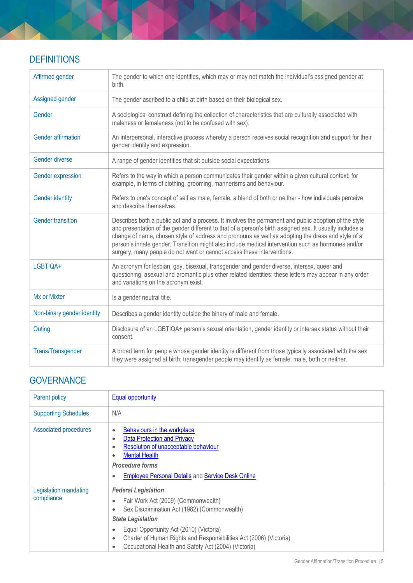### **DEFINITIONS**

| Affirmed gender            | The gender to which one identifies, which may or may not match the individual's assigned gender at<br>birth.                                                                                                                                                                                                                                                                                                                                                                                           |
|----------------------------|--------------------------------------------------------------------------------------------------------------------------------------------------------------------------------------------------------------------------------------------------------------------------------------------------------------------------------------------------------------------------------------------------------------------------------------------------------------------------------------------------------|
| Assigned gender            | The gender ascribed to a child at birth based on their biological sex.                                                                                                                                                                                                                                                                                                                                                                                                                                 |
| Gender                     | A sociological construct defining the collection of characteristics that are culturally associated with<br>maleness or femaleness (not to be confused with sex).                                                                                                                                                                                                                                                                                                                                       |
| <b>Gender affirmation</b>  | An interpersonal, interactive process whereby a person receives social recognition and support for their<br>gender identity and expression.                                                                                                                                                                                                                                                                                                                                                            |
| Gender diverse             | A range of gender identities that sit outside social expectations                                                                                                                                                                                                                                                                                                                                                                                                                                      |
| Gender expression          | Refers to the way in which a person communicates their gender within a given cultural context; for<br>example, in terms of clothing, grooming, mannerisms and behaviour.                                                                                                                                                                                                                                                                                                                               |
| <b>Gender identity</b>     | Refers to one's concept of self as male, female, a blend of both or neither - how individuals perceive<br>and describe themselves.                                                                                                                                                                                                                                                                                                                                                                     |
| <b>Gender transition</b>   | Describes both a public act and a process. It involves the permanent and public adoption of the style<br>and presentation of the gender different to that of a person's birth assigned sex. It usually includes a<br>change of name, chosen style of address and pronouns as well as adopting the dress and style of a<br>person's innate gender. Transition might also include medical intervention such as hormones and/or<br>surgery, many people do not want or cannot access these interventions. |
| LGBTIQA+                   | An acronym for lesbian, gay, bisexual, transgender and gender diverse, intersex, queer and<br>questioning, asexual and aromantic plus other related identities; these letters may appear in any order<br>and variations on the acronym exist.                                                                                                                                                                                                                                                          |
| Mx or Mixter               | Is a gender neutral title.                                                                                                                                                                                                                                                                                                                                                                                                                                                                             |
| Non-binary gender identity | Describes a gender identity outside the binary of male and female.                                                                                                                                                                                                                                                                                                                                                                                                                                     |
| Outing                     | Disclosure of an LGBTIQA+ person's sexual orientation, gender identity or intersex status without their<br>consent.                                                                                                                                                                                                                                                                                                                                                                                    |
| <b>Trans/Transgender</b>   | A broad term for people whose gender identity is different from those typically associated with the sex<br>they were assigned at birth; transgender people may identify as female, male, both or neither.                                                                                                                                                                                                                                                                                              |

## **GOVERNANCE**

| Parent policy                       | <b>Equal opportunity</b>                                                                                                                                                                                                                                                                                                                                                                |
|-------------------------------------|-----------------------------------------------------------------------------------------------------------------------------------------------------------------------------------------------------------------------------------------------------------------------------------------------------------------------------------------------------------------------------------------|
| <b>Supporting Schedules</b>         | N/A                                                                                                                                                                                                                                                                                                                                                                                     |
| Associated procedures               | Behaviours in the workplace<br>$\bullet$<br><b>Data Protection and Privacy</b><br>$\bullet$<br>Resolution of unacceptable behaviour<br>$\bullet$<br><b>Mental Health</b><br>$\bullet$<br><b>Procedure forms</b><br><b>Employee Personal Details and Service Desk Online</b><br>$\bullet$                                                                                                |
| Legislation mandating<br>compliance | <b>Federal Legislation</b><br>Fair Work Act (2009) (Commonwealth)<br>$\bullet$<br>Sex Discrimination Act (1982) (Commonwealth)<br>$\bullet$<br><b>State Legislation</b><br>Equal Opportunity Act (2010) (Victoria)<br>$\bullet$<br>Charter of Human Rights and Responsibilities Act (2006) (Victoria)<br>$\bullet$<br>Occupational Health and Safety Act (2004) (Victoria)<br>$\bullet$ |